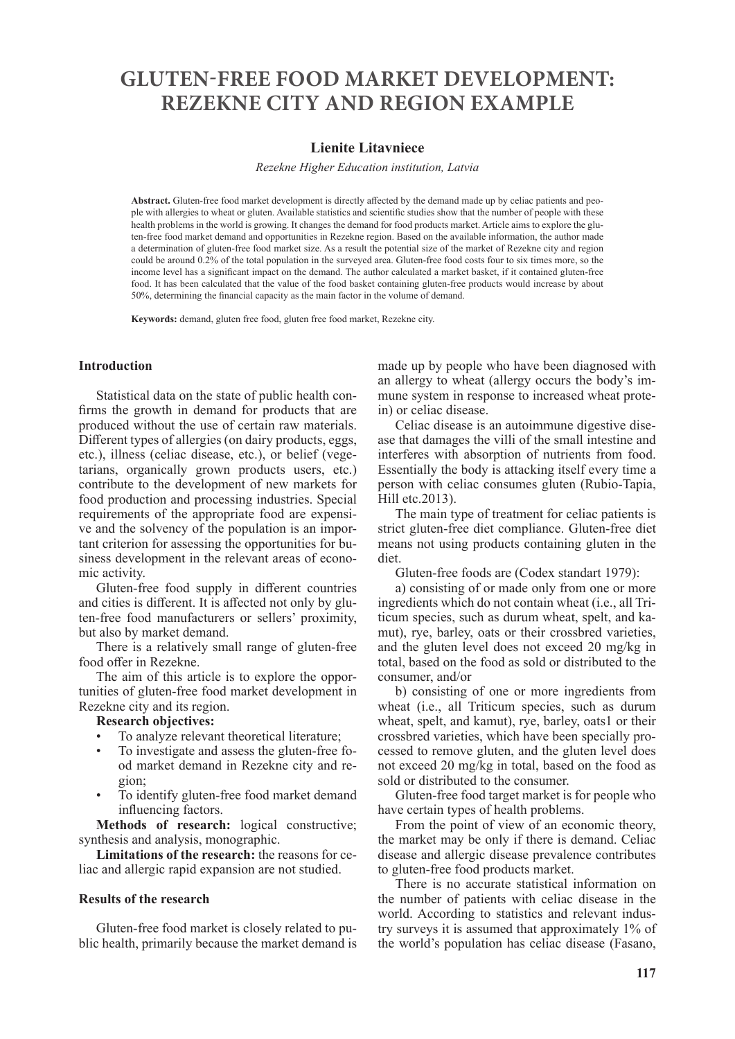# **GLUTEN-FREE FOOD MARKET DEVELOPMENT: REZEKNE CITY AND REGION EXAMPLE**

# **Lienite Litavniece**

*Rezekne Higher Education institution, Latvia*

Abstract. Gluten-free food market development is directly affected by the demand made up by celiac patients and people with allergies to wheat or gluten. Available statistics and scientific studies show that the number of people with these health problems in the world is growing. It changes the demand for food products market. Article aims to explore the gluten-free food market demand and opportunities in Rezekne region. Based on the available information, the author made a determination of gluten-free food market size. As a result the potential size of the market of Rezekne city and region could be around 0.2% of the total population in the surveyed area. Gluten-free food costs four to six times more, so the income level has a significant impact on the demand. The author calculated a market basket, if it contained gluten-free food. It has been calculated that the value of the food basket containing gluten-free products would increase by about 50%, determining the financial capacity as the main factor in the volume of demand.

**Keywords:** demand, gluten free food, gluten free food market, Rezekne city.

#### **Introduction**

Statistical data on the state of public health confirms the growth in demand for products that are produced without the use of certain raw materials. Different types of allergies (on dairy products, eggs, etc.), illness (celiac disease, etc.), or belief (vegetarians, organically grown products users, etc.) contribute to the development of new markets for food production and processing industries. Special requirements of the appropriate food are expensive and the solvency of the population is an important criterion for assessing the opportunities for business development in the relevant areas of economic activity.

Gluten-free food supply in different countries and cities is different. It is affected not only by gluten-free food manufacturers or sellers' proximity, but also by market demand.

There is a relatively small range of gluten-free food offer in Rezekne.

The aim of this article is to explore the opportunities of gluten-free food market development in Rezekne city and its region.

### **Research objectives:**

- To analyze relevant theoretical literature;
- To investigate and assess the gluten-free food market demand in Rezekne city and region;
- To identify gluten-free food market demand influencing factors.

**Methods of research:** logical constructive; synthesis and analysis, monographic.

**Limitations of the research:** the reasons for celiac and allergic rapid expansion are not studied.

### **Results of the research**

Gluten-free food market is closely related to public health, primarily because the market demand is made up by people who have been diagnosed with an allergy to wheat (allergy occurs the body's immune system in response to increased wheat protein) or celiac disease.

Celiac disease is an autoimmune digestive disease that damages the villi of the small intestine and interferes with absorption of nutrients from food. Essentially the body is attacking itself every time a person with celiac consumes gluten (Rubio-Tapia, Hill etc.2013).

The main type of treatment for celiac patients is strict gluten-free diet compliance. Gluten-free diet means not using products containing gluten in the diet.

Gluten-free foods are (Codex standart 1979):

a) consisting of or made only from one or more ingredients which do not contain wheat (i.e., all Triticum species, such as durum wheat, spelt, and kamut), rye, barley, oats or their crossbred varieties, and the gluten level does not exceed 20 mg/kg in total, based on the food as sold or distributed to the consumer, and/or

b) consisting of one or more ingredients from wheat (i.e., all Triticum species, such as durum wheat, spelt, and kamut), rye, barley, oats1 or their crossbred varieties, which have been specially processed to remove gluten, and the gluten level does not exceed 20 mg/kg in total, based on the food as sold or distributed to the consumer.

Gluten-free food target market is for people who have certain types of health problems.

From the point of view of an economic theory, the market may be only if there is demand. Celiac disease and allergic disease prevalence contributes to gluten-free food products market.

There is no accurate statistical information on the number of patients with celiac disease in the world. According to statistics and relevant industry surveys it is assumed that approximately 1% of the world's population has celiac disease (Fasano,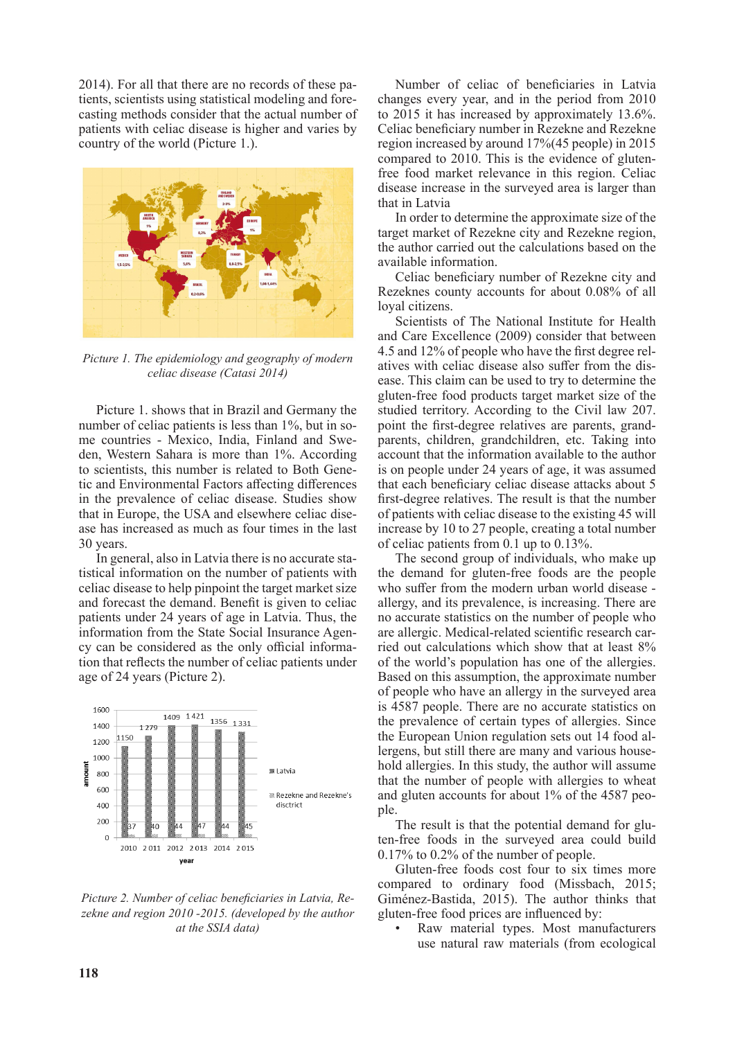2014). For all that there are no records of these patients, scientists using statistical modeling and forecasting methods consider that the actual number of patients with celiac disease is higher and varies by country of the world (Picture 1.).



*Picture 1. The epidemiology and geography of modern celiac disease (Catasi 2014)*

Picture 1. shows that in Brazil and Germany the number of celiac patients is less than 1%, but in some countries - Mexico, India, Finland and Sweden, Western Sahara is more than 1%. According to scientists, this number is related to Both Genetic and Environmental Factors affecting differences in the prevalence of celiac disease. Studies show that in Europe, the USA and elsewhere celiac disease has increased as much as four times in the last 30 years.

In general, also in Latvia there is no accurate statistical information on the number of patients with celiac disease to help pinpoint the target market size and forecast the demand. Benefit is given to celiac patients under 24 years of age in Latvia. Thus, the information from the State Social Insurance Agency can be considered as the only official information that reflects the number of celiac patients under age of 24 years (Picture 2).



*Picture 2. Number of celiac beneficiaries in Latvia, Rezekne and region 2010 -2015. (developed by the author at the SSIA data)*

Number of celiac of beneficiaries in Latvia changes every year, and in the period from 2010 to 2015 it has increased by approximately 13.6%. Celiac beneficiary number in Rezekne and Rezekne region increased by around 17%(45 people) in 2015 compared to 2010. This is the evidence of glutenfree food market relevance in this region. Celiac disease increase in the surveyed area is larger than that in Latvia

In order to determine the approximate size of the target market of Rezekne city and Rezekne region, the author carried out the calculations based on the available information.

Celiac beneficiary number of Rezekne city and Rezeknes county accounts for about 0.08% of all loyal citizens.

Scientists of The National Institute for Health and Care Excellence (2009) consider that between 4.5 and 12% of people who have the first degree relatives with celiac disease also suffer from the disease. This claim can be used to try to determine the gluten-free food products target market size of the studied territory. According to the Civil law 207. point the first-degree relatives are parents, grandparents, children, grandchildren, etc. Taking into account that the information available to the author is on people under 24 years of age, it was assumed that each beneficiary celiac disease attacks about 5 first-degree relatives. The result is that the number of patients with celiac disease to the existing 45 will increase by 10 to 27 people, creating a total number of celiac patients from 0.1 up to 0.13%.

The second group of individuals, who make up the demand for gluten-free foods are the people who suffer from the modern urban world disease allergy, and its prevalence, is increasing. There are no accurate statistics on the number of people who are allergic. Medical-related scientific research carried out calculations which show that at least 8% of the world's population has one of the allergies. Based on this assumption, the approximate number of people who have an allergy in the surveyed area is 4587 people. There are no accurate statistics on the prevalence of certain types of allergies. Since the European Union regulation sets out 14 food allergens, but still there are many and various household allergies. In this study, the author will assume that the number of people with allergies to wheat and gluten accounts for about 1% of the 4587 people.

The result is that the potential demand for gluten-free foods in the surveyed area could build 0.17% to 0.2% of the number of people.

Gluten-free foods cost four to six times more compared to ordinary food (Missbach, 2015; Giménez-Bastida, 2015). The author thinks that gluten-free food prices are influenced by:

Raw material types. Most manufacturers use natural raw materials (from ecological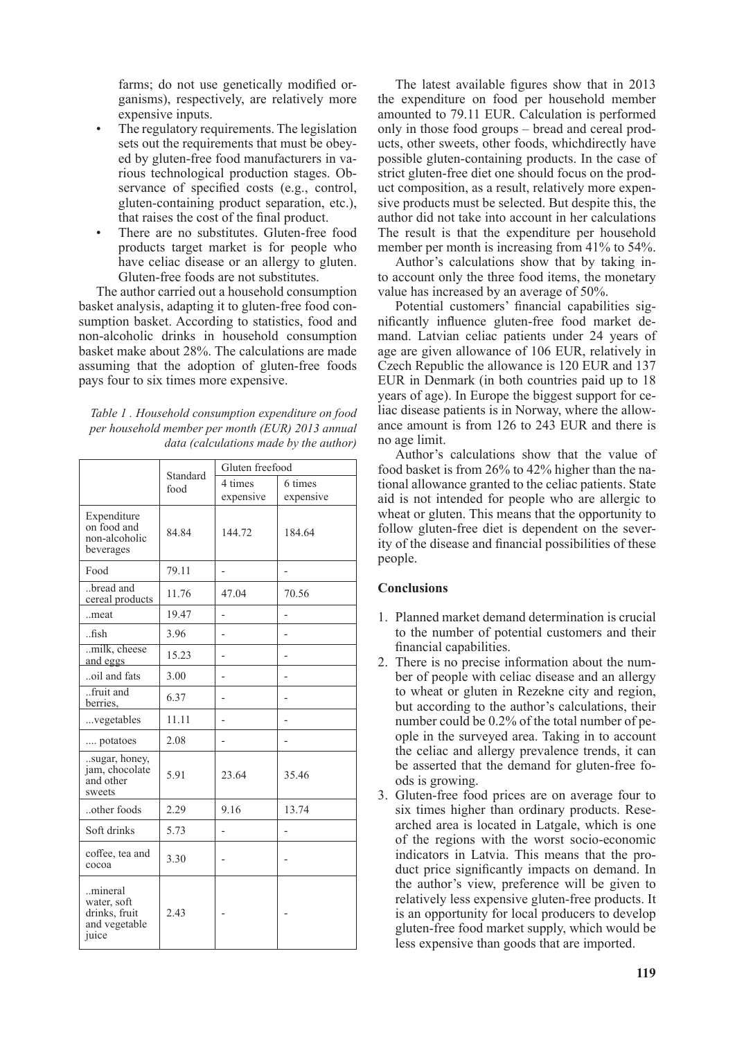farms; do not use genetically modified organisms), respectively, are relatively more expensive inputs.

- The regulatory requirements. The legislation sets out the requirements that must be obeyed by gluten-free food manufacturers in various technological production stages. Observance of specified costs (e.g., control, gluten-containing product separation, etc.), that raises the cost of the final product.
- There are no substitutes. Gluten-free food products target market is for people who have celiac disease or an allergy to gluten. Gluten-free foods are not substitutes.

The author carried out a household consumption basket analysis, adapting it to gluten-free food consumption basket. According to statistics, food and non-alcoholic drinks in household consumption basket make about 28%. The calculations are made assuming that the adoption of gluten-free foods pays four to six times more expensive.

*Table 1 . Household consumption expenditure on food per household member per month (EUR) 2013 annual data (calculations made by the author)*

|                                                                   | Standard | Gluten freefood |           |
|-------------------------------------------------------------------|----------|-----------------|-----------|
|                                                                   | food     | 4 times         | 6 times   |
|                                                                   |          | expensive       | expensive |
| Expenditure<br>on food and<br>non-alcoholic<br>beverages          | 84.84    | 144.72          | 184.64    |
| Food                                                              | 79.11    |                 |           |
| bread and<br>cereal products                                      | 11.76    | 47.04           | 70.56     |
| meat                                                              | 19.47    |                 |           |
| $\n  f$                                                           | 3.96     |                 |           |
| milk, cheese<br>and eggs                                          | 15.23    |                 |           |
| oil and fats                                                      | 3.00     |                 |           |
| fruit and<br>berries,                                             | 6.37     |                 |           |
| vegetables                                                        | 11.11    |                 |           |
| potatoes                                                          | 2.08     |                 |           |
| sugar, honey,<br>jam, chocolate<br>and other<br>sweets            | 5.91     | 23.64           | 35.46     |
| other foods                                                       | 2.29     | 9.16            | 13.74     |
| Soft drinks                                                       | 5.73     |                 |           |
| coffee, tea and<br>cocoa                                          | 3.30     |                 |           |
| mineral<br>water, soft<br>drinks, fruit<br>and vegetable<br>juice | 2.43     |                 |           |

The latest available figures show that in 2013 the expenditure on food per household member amounted to 79.11 EUR. Calculation is performed only in those food groups – bread and cereal products, other sweets, other foods, whichdirectly have possible gluten-containing products. In the case of strict gluten-free diet one should focus on the product composition, as a result, relatively more expensive products must be selected. But despite this, the author did not take into account in her calculations The result is that the expenditure per household member per month is increasing from 41% to 54%.

Author's calculations show that by taking into account only the three food items, the monetary value has increased by an average of 50%.

Potential customers' financial capabilities significantly influence gluten-free food market demand. Latvian celiac patients under 24 years of age are given allowance of 106 EUR, relatively in Czech Republic the allowance is 120 EUR and 137 EUR in Denmark (in both countries paid up to 18 years of age). In Europe the biggest support for celiac disease patients is in Norway, where the allowance amount is from 126 to 243 EUR and there is no age limit.

Author's calculations show that the value of food basket is from 26% to 42% higher than the national allowance granted to the celiac patients. State aid is not intended for people who are allergic to wheat or gluten. This means that the opportunity to follow gluten-free diet is dependent on the severity of the disease and financial possibilities of these people.

# **Conclusions**

- 1. Planned market demand determination is crucial to the number of potential customers and their financial capabilities.
- 2. There is no precise information about the number of people with celiac disease and an allergy to wheat or gluten in Rezekne city and region, but according to the author's calculations, their number could be 0.2% of the total number of people in the surveyed area. Taking in to account the celiac and allergy prevalence trends, it can be asserted that the demand for gluten-free foods is growing.
- 3. Gluten-free food prices are on average four to six times higher than ordinary products. Researched area is located in Latgale, which is one of the regions with the worst socio-economic indicators in Latvia. This means that the product price significantly impacts on demand. In the author's view, preference will be given to relatively less expensive gluten-free products. It is an opportunity for local producers to develop gluten-free food market supply, which would be less expensive than goods that are imported.